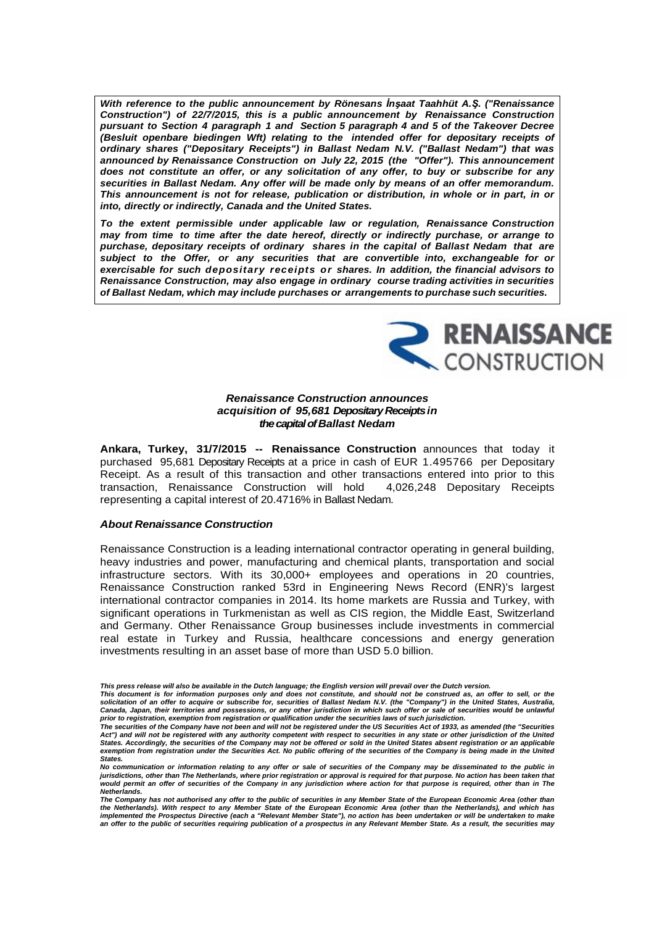**With reference to the public announcement by Rönesans** *İ***n***ş***aat Taahhüt A.***Ş***. ("Renaissance Construction") of 22/7/2015, this is a public announcement by Renaissance Construction pursuant to Section 4 paragraph 1 and Section 5 paragraph 4 and 5 of the Takeover Decree (Besluit openbare biedingen Wft) relating to the intended offer for depositary receipts of ordinary shares ("Depositary Receipts") in Ballast Nedam N.V. ("Ballast Nedam") that was announced by Renaissance Construction on July 22, 2015 (the "Offer"). This announcement does not constitute an offer, or any solicitation of any offer, to buy or subscribe for any securities in Ballast Nedam. Any offer will be made only by means of an offer memorandum. This announcement is not for release, publication or distribution, in whole or in part, in or into, directly or indirectly, Canada and the United States.**

**To the extent permissible under applicable law or regulation, Renaissance Construction may from time to time after the date hereof, directly or indirectly purchase, or arrange to purchase, depositary receipts of ordinary shares in the capital of Ballast Nedam that are subject to the Offer, or any securities that are convertible into, exchangeable for or exercisable for such depositary receipts or shares. In addition, the financial advisors to Renaissance Construction, may also engage in ordinary course trading activities in securities of Ballast Nedam, which may include purchases or arrangements to purchase such securities.**



## **Renaissance Construction announces acquisition of 95,681 Depositary Receipts in the capital of Ballast Nedam**

**Ankara, Turkey, 31/7/2015 -- Renaissance Construction** announces that today it purchased 95,681 Depositary Receipts at a price in cash of EUR 1.495766 per Depositary Receipt. As a result of this transaction and other transactions entered into prior to this transaction, Renaissance Construction will hold 4,026,248 Depositary Receipts representing a capital interest of 20.4716% in Ballast Nedam.

## **About Renaissance Construction**

Renaissance Construction is a leading international contractor operating in general building, heavy industries and power, manufacturing and chemical plants, transportation and social infrastructure sectors. With its 30,000+ employees and operations in 20 countries, Renaissance Construction ranked 53rd in Engineering News Record (ENR)'s largest international contractor companies in 2014. Its home markets are Russia and Turkey, with significant operations in Turkmenistan as well as CIS region, the Middle East, Switzerland and Germany. Other Renaissance Group businesses include investments in commercial real estate in Turkey and Russia, healthcare concessions and energy generation investments resulting in an asset base of more than USD 5.0 billion.

**This press release will also be available in the Dutch language; the English version will prevail over the Dutch version.** 

**This document is for information purposes only and does not constitute, and should not be construed as, an offer to sell, or the solicitation of an offer to acquire or subscribe for, securities of Ballast Nedam N.V. (the "Company") in the United States, Australia,**  Canada, Japan, their territories and possessions, or any other jurisdiction in which such offer or sale of securities would be unlawful<br>prior to registration, exemption from registration or qualification under the securiti

**Act") and will not be registered with any authority competent with respect to securities in any state or other jurisdiction of the United States. Accordingly, the securities of the Company may not be offered or sold in the United States absent registration or an applicable exemption from registration under the Securities Act. No public offering of the securities of the Company is being made in the United States.** 

**No communication or information relating to any offer or sale of securities of the Company may be disseminated to the public in jurisdictions, other than The Netherlands, where prior registration or approval is required for that purpose. No action has been taken that would permit an offer of securities of the Company in any jurisdiction where action for that purpose is required, other than in The Netherlands.** 

**The Company has not authorised any offer to the public of securities in any Member State of the European Economic Area (other than**  the Netherlands). With respect to any Member State of the European Economic Area (other than the Netherlands), and which has<br>implemented the Prospectus Directive (each a "Relevant Member State"), no action has been underta **an offer to the public of securities requiring publication of a prospectus in any Relevant Member State. As a result, the securities may**